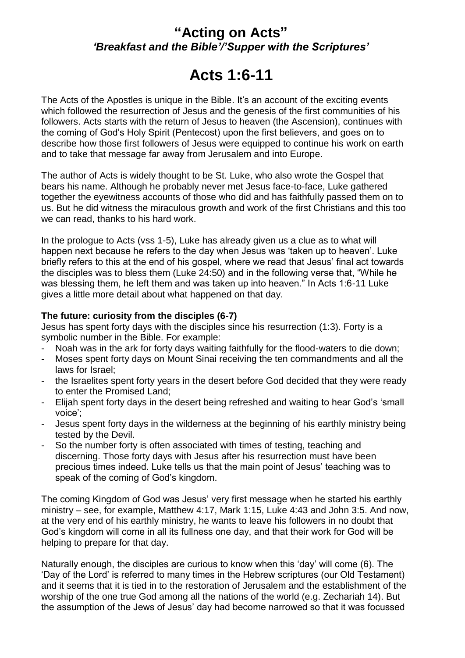## **"Acting on Acts"** *'Breakfast and the Bible'/'Supper with the Scriptures'*

# **Acts 1:6-11**

The Acts of the Apostles is unique in the Bible. It's an account of the exciting events which followed the resurrection of Jesus and the genesis of the first communities of his followers. Acts starts with the return of Jesus to heaven (the Ascension), continues with the coming of God's Holy Spirit (Pentecost) upon the first believers, and goes on to describe how those first followers of Jesus were equipped to continue his work on earth and to take that message far away from Jerusalem and into Europe.

The author of Acts is widely thought to be St. Luke, who also wrote the Gospel that bears his name. Although he probably never met Jesus face-to-face, Luke gathered together the eyewitness accounts of those who did and has faithfully passed them on to us. But he did witness the miraculous growth and work of the first Christians and this too we can read, thanks to his hard work.

In the prologue to Acts (vss 1-5), Luke has already given us a clue as to what will happen next because he refers to the day when Jesus was 'taken up to heaven'. Luke briefly refers to this at the end of his gospel, where we read that Jesus' final act towards the disciples was to bless them (Luke 24:50) and in the following verse that, "While he was blessing them, he left them and was taken up into heaven." In Acts 1:6-11 Luke gives a little more detail about what happened on that day.

### **The future: curiosity from the disciples (6-7)**

Jesus has spent forty days with the disciples since his resurrection (1:3). Forty is a symbolic number in the Bible. For example:

- Noah was in the ark for forty days waiting faithfully for the flood-waters to die down;
- Moses spent forty days on Mount Sinai receiving the ten commandments and all the laws for Israel;
- the Israelites spent forty years in the desert before God decided that they were ready to enter the Promised Land;
- Elijah spent forty days in the desert being refreshed and waiting to hear God's 'small voice';
- Jesus spent forty days in the wilderness at the beginning of his earthly ministry being tested by the Devil.
- So the number forty is often associated with times of testing, teaching and discerning. Those forty days with Jesus after his resurrection must have been precious times indeed. Luke tells us that the main point of Jesus' teaching was to speak of the coming of God's kingdom.

The coming Kingdom of God was Jesus' very first message when he started his earthly ministry – see, for example, Matthew 4:17, Mark 1:15, Luke 4:43 and John 3:5. And now, at the very end of his earthly ministry, he wants to leave his followers in no doubt that God's kingdom will come in all its fullness one day, and that their work for God will be helping to prepare for that day.

Naturally enough, the disciples are curious to know when this 'day' will come (6). The 'Day of the Lord' is referred to many times in the Hebrew scriptures (our Old Testament) and it seems that it is tied in to the restoration of Jerusalem and the establishment of the worship of the one true God among all the nations of the world (e.g. Zechariah 14). But the assumption of the Jews of Jesus' day had become narrowed so that it was focussed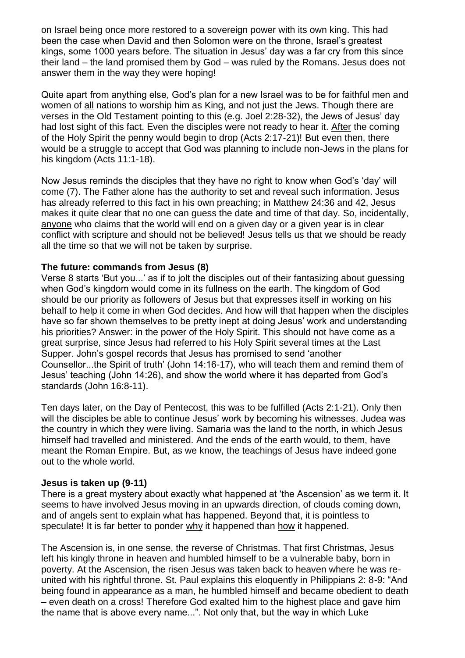on Israel being once more restored to a sovereign power with its own king. This had been the case when David and then Solomon were on the throne, Israel's greatest kings, some 1000 years before. The situation in Jesus' day was a far cry from this since their land – the land promised them by God – was ruled by the Romans. Jesus does not answer them in the way they were hoping!

Quite apart from anything else, God's plan for a new Israel was to be for faithful men and women of all nations to worship him as King, and not just the Jews. Though there are verses in the Old Testament pointing to this (e.g. Joel 2:28-32), the Jews of Jesus' day had lost sight of this fact. Even the disciples were not ready to hear it. After the coming of the Holy Spirit the penny would begin to drop (Acts 2:17-21)! But even then, there would be a struggle to accept that God was planning to include non-Jews in the plans for his kingdom (Acts 11:1-18).

Now Jesus reminds the disciples that they have no right to know when God's 'day' will come (7). The Father alone has the authority to set and reveal such information. Jesus has already referred to this fact in his own preaching; in Matthew 24:36 and 42, Jesus makes it quite clear that no one can guess the date and time of that day. So, incidentally, anyone who claims that the world will end on a given day or a given year is in clear conflict with scripture and should not be believed! Jesus tells us that we should be ready all the time so that we will not be taken by surprise.

#### **The future: commands from Jesus (8)**

Verse 8 starts 'But you...' as if to jolt the disciples out of their fantasizing about guessing when God's kingdom would come in its fullness on the earth. The kingdom of God should be our priority as followers of Jesus but that expresses itself in working on his behalf to help it come in when God decides. And how will that happen when the disciples have so far shown themselves to be pretty inept at doing Jesus' work and understanding his priorities? Answer: in the power of the Holy Spirit. This should not have come as a great surprise, since Jesus had referred to his Holy Spirit several times at the Last Supper. John's gospel records that Jesus has promised to send 'another Counsellor...the Spirit of truth' (John 14:16-17), who will teach them and remind them of Jesus' teaching (John 14:26), and show the world where it has departed from God's standards (John 16:8-11).

Ten days later, on the Day of Pentecost, this was to be fulfilled (Acts 2:1-21). Only then will the disciples be able to continue Jesus' work by becoming his witnesses. Judea was the country in which they were living. Samaria was the land to the north, in which Jesus himself had travelled and ministered. And the ends of the earth would, to them, have meant the Roman Empire. But, as we know, the teachings of Jesus have indeed gone out to the whole world.

#### **Jesus is taken up (9-11)**

There is a great mystery about exactly what happened at 'the Ascension' as we term it. It seems to have involved Jesus moving in an upwards direction, of clouds coming down, and of angels sent to explain what has happened. Beyond that, it is pointless to speculate! It is far better to ponder why it happened than how it happened.

The Ascension is, in one sense, the reverse of Christmas. That first Christmas, Jesus left his kingly throne in heaven and humbled himself to be a vulnerable baby, born in poverty. At the Ascension, the risen Jesus was taken back to heaven where he was reunited with his rightful throne. St. Paul explains this eloquently in Philippians 2: 8-9: "And being found in appearance as a man, he humbled himself and became obedient to death – even death on a cross! Therefore God exalted him to the highest place and gave him the name that is above every name...". Not only that, but the way in which Luke